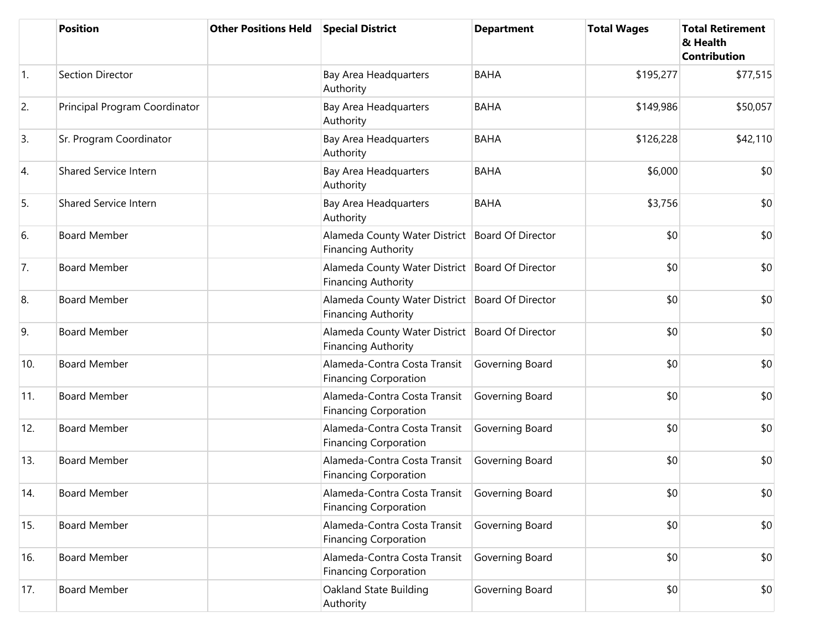|                  | <b>Position</b>               | <b>Other Positions Held</b> | <b>Special District</b>                                                       | <b>Department</b> | <b>Total Wages</b> | <b>Total Retirement</b><br>& Health<br><b>Contribution</b> |
|------------------|-------------------------------|-----------------------------|-------------------------------------------------------------------------------|-------------------|--------------------|------------------------------------------------------------|
| $\overline{1}$ . | Section Director              |                             | Bay Area Headquarters<br>Authority                                            | <b>BAHA</b>       | \$195,277          | \$77,515                                                   |
| 2.               | Principal Program Coordinator |                             | Bay Area Headquarters<br>Authority                                            | <b>BAHA</b>       | \$149,986          | \$50,057                                                   |
| 3.               | Sr. Program Coordinator       |                             | Bay Area Headquarters<br>Authority                                            | <b>BAHA</b>       | \$126,228          | \$42,110                                                   |
| 4.               | <b>Shared Service Intern</b>  |                             | Bay Area Headquarters<br>Authority                                            | <b>BAHA</b>       | \$6,000            | \$0                                                        |
| 5.               | Shared Service Intern         |                             | Bay Area Headquarters<br>Authority                                            | <b>BAHA</b>       | \$3,756            | \$0                                                        |
| 6.               | <b>Board Member</b>           |                             | Alameda County Water District<br><b>Financing Authority</b>                   | Board Of Director | \$0                | \$0                                                        |
| 7.               | <b>Board Member</b>           |                             | Alameda County Water District Board Of Director<br><b>Financing Authority</b> |                   | \$0                | \$0                                                        |
| 8.               | <b>Board Member</b>           |                             | Alameda County Water District Board Of Director<br><b>Financing Authority</b> |                   | \$0                | \$0                                                        |
| 9.               | <b>Board Member</b>           |                             | Alameda County Water District Board Of Director<br><b>Financing Authority</b> |                   | \$0                | \$0                                                        |
| 10.              | <b>Board Member</b>           |                             | Alameda-Contra Costa Transit<br><b>Financing Corporation</b>                  | Governing Board   | \$0                | \$0                                                        |
| 11.              | <b>Board Member</b>           |                             | Alameda-Contra Costa Transit<br><b>Financing Corporation</b>                  | Governing Board   | \$0                | \$0                                                        |
| 12.              | <b>Board Member</b>           |                             | Alameda-Contra Costa Transit<br><b>Financing Corporation</b>                  | Governing Board   | \$0                | \$0                                                        |
| 13.              | <b>Board Member</b>           |                             | Alameda-Contra Costa Transit<br><b>Financing Corporation</b>                  | Governing Board   | \$0                | \$0                                                        |
| 14.              | <b>Board Member</b>           |                             | Alameda-Contra Costa Transit<br><b>Financing Corporation</b>                  | Governing Board   | \$0                | \$0                                                        |
| 15.              | <b>Board Member</b>           |                             | Alameda-Contra Costa Transit<br><b>Financing Corporation</b>                  | Governing Board   | \$0                | \$0                                                        |
| 16.              | <b>Board Member</b>           |                             | Alameda-Contra Costa Transit<br><b>Financing Corporation</b>                  | Governing Board   | \$0                | \$0                                                        |
| 17.              | <b>Board Member</b>           |                             | Oakland State Building<br>Authority                                           | Governing Board   | \$0                | \$0                                                        |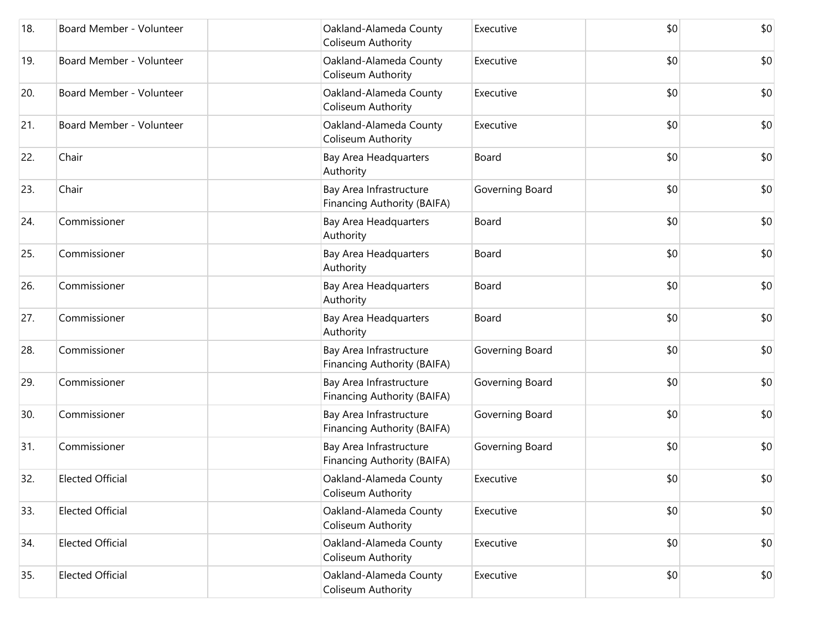| 18. | Board Member - Volunteer | Oakland-Alameda County<br>Coliseum Authority           | Executive       | \$0 | \$0 |
|-----|--------------------------|--------------------------------------------------------|-----------------|-----|-----|
| 19. | Board Member - Volunteer | Oakland-Alameda County<br>Coliseum Authority           | Executive       | \$0 | \$0 |
| 20. | Board Member - Volunteer | Oakland-Alameda County<br>Coliseum Authority           | Executive       | \$0 | \$0 |
| 21. | Board Member - Volunteer | Oakland-Alameda County<br>Coliseum Authority           | Executive       | \$0 | \$0 |
| 22. | Chair                    | Bay Area Headquarters<br>Authority                     | Board           | \$0 | \$0 |
| 23. | Chair                    | Bay Area Infrastructure<br>Financing Authority (BAIFA) | Governing Board | \$0 | \$0 |
| 24. | Commissioner             | Bay Area Headquarters<br>Authority                     | Board           | \$0 | \$0 |
| 25. | Commissioner             | Bay Area Headquarters<br>Authority                     | Board           | \$0 | \$0 |
| 26. | Commissioner             | Bay Area Headquarters<br>Authority                     | Board           | \$0 | \$0 |
| 27. | Commissioner             | Bay Area Headquarters<br>Authority                     | Board           | \$0 | \$0 |
| 28. | Commissioner             | Bay Area Infrastructure<br>Financing Authority (BAIFA) | Governing Board | \$0 | \$0 |
| 29. | Commissioner             | Bay Area Infrastructure<br>Financing Authority (BAIFA) | Governing Board | \$0 | \$0 |
| 30. | Commissioner             | Bay Area Infrastructure<br>Financing Authority (BAIFA) | Governing Board | \$0 | \$0 |
| 31. | Commissioner             | Bay Area Infrastructure<br>Financing Authority (BAIFA) | Governing Board | \$0 | \$0 |
| 32. | <b>Elected Official</b>  | Oakland-Alameda County<br>Coliseum Authority           | Executive       | \$0 | \$0 |
| 33. | <b>Elected Official</b>  | Oakland-Alameda County<br>Coliseum Authority           | Executive       | \$0 | \$0 |
| 34. | <b>Elected Official</b>  | Oakland-Alameda County<br>Coliseum Authority           | Executive       | \$0 | \$0 |
| 35. | <b>Elected Official</b>  | Oakland-Alameda County<br>Coliseum Authority           | Executive       | \$0 | \$0 |